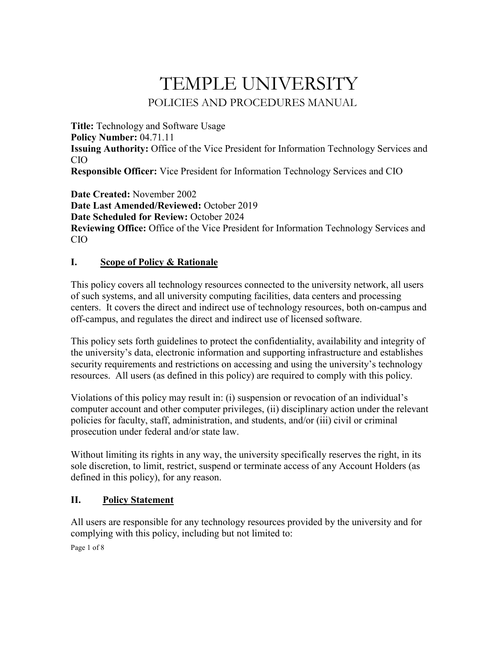# TEMPLE UNIVERSITY POLICIES AND PROCEDURES MANUAL

**Title:** Technology and Software Usage **Policy Number:** 04.71.11 **Issuing Authority:** Office of the Vice President for Information Technology Services and CIO **Responsible Officer:** Vice President for Information Technology Services and CIO

**Date Created:** November 2002 **Date Last Amended/Reviewed:** October 2019 **Date Scheduled for Review:** October 2024 **Reviewing Office:** Office of the Vice President for Information Technology Services and CIO

# **I. Scope of Policy & Rationale**

This policy covers all technology resources connected to the university network, all users of such systems, and all university computing facilities, data centers and processing centers. It covers the direct and indirect use of technology resources, both on-campus and off-campus, and regulates the direct and indirect use of licensed software.

This policy sets forth guidelines to protect the confidentiality, availability and integrity of the university's data, electronic information and supporting infrastructure and establishes security requirements and restrictions on accessing and using the university's technology resources. All users (as defined in this policy) are required to comply with this policy.

Violations of this policy may result in: (i) suspension or revocation of an individual's computer account and other computer privileges, (ii) disciplinary action under the relevant policies for faculty, staff, administration, and students, and/or (iii) civil or criminal prosecution under federal and/or state law.

Without limiting its rights in any way, the university specifically reserves the right, in its sole discretion, to limit, restrict, suspend or terminate access of any Account Holders (as defined in this policy), for any reason.

## **II. Policy Statement**

All users are responsible for any technology resources provided by the university and for complying with this policy, including but not limited to:

Page 1 of 8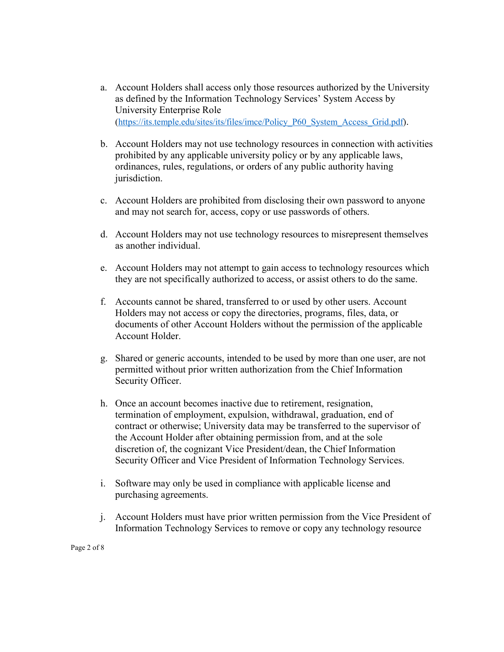- a. Account Holders shall access only those resources authorized by the University as defined by the Information Technology Services' System Access by University Enterprise Role [\(https://its.temple.edu/sites/its/files/imce/Policy\\_P60\\_System\\_Access\\_Grid.pdf\)](https://its.temple.edu/sites/its/files/imce/Policy_P60_System_Access_Grid.pdf).
- b. Account Holders may not use technology resources in connection with activities prohibited by any applicable university policy or by any applicable laws, ordinances, rules, regulations, or orders of any public authority having jurisdiction.
- c. Account Holders are prohibited from disclosing their own password to anyone and may not search for, access, copy or use passwords of others.
- d. Account Holders may not use technology resources to misrepresent themselves as another individual.
- e. Account Holders may not attempt to gain access to technology resources which they are not specifically authorized to access, or assist others to do the same.
- f. Accounts cannot be shared, transferred to or used by other users. Account Holders may not access or copy the directories, programs, files, data, or documents of other Account Holders without the permission of the applicable Account Holder.
- g. Shared or generic accounts, intended to be used by more than one user, are not permitted without prior written authorization from the Chief Information Security Officer.
- h. Once an account becomes inactive due to retirement, resignation, termination of employment, expulsion, withdrawal, graduation, end of contract or otherwise; University data may be transferred to the supervisor of the Account Holder after obtaining permission from, and at the sole discretion of, the cognizant Vice President/dean, the Chief Information Security Officer and Vice President of Information Technology Services.
- i. Software may only be used in compliance with applicable license and purchasing agreements.
- j. Account Holders must have prior written permission from the Vice President of Information Technology Services to remove or copy any technology resource

Page 2 of 8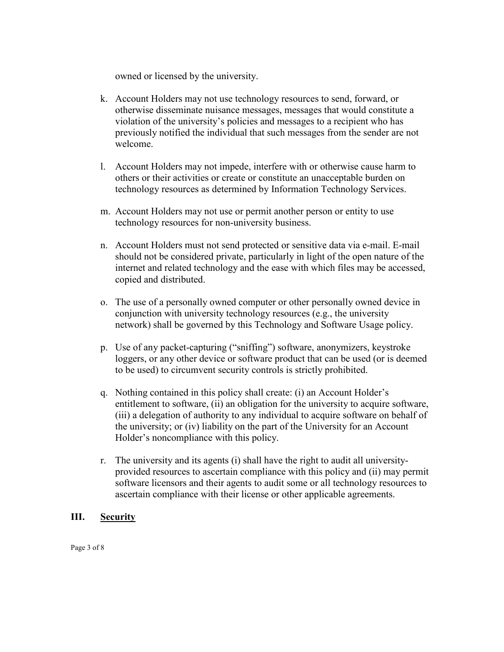owned or licensed by the university.

- k. Account Holders may not use technology resources to send, forward, or otherwise disseminate nuisance messages, messages that would constitute a violation of the university's policies and messages to a recipient who has previously notified the individual that such messages from the sender are not welcome.
- l. Account Holders may not impede, interfere with or otherwise cause harm to others or their activities or create or constitute an unacceptable burden on technology resources as determined by Information Technology Services.
- m. Account Holders may not use or permit another person or entity to use technology resources for non-university business.
- n. Account Holders must not send protected or sensitive data via e-mail. E-mail should not be considered private, particularly in light of the open nature of the internet and related technology and the ease with which files may be accessed, copied and distributed.
- o. The use of a personally owned computer or other personally owned device in conjunction with university technology resources (e.g., the university network) shall be governed by this Technology and Software Usage policy.
- p. Use of any packet-capturing ("sniffing") software, anonymizers, keystroke loggers, or any other device or software product that can be used (or is deemed to be used) to circumvent security controls is strictly prohibited.
- q. Nothing contained in this policy shall create: (i) an Account Holder's entitlement to software, (ii) an obligation for the university to acquire software, (iii) a delegation of authority to any individual to acquire software on behalf of the university; or (iv) liability on the part of the University for an Account Holder's noncompliance with this policy.
- r. The university and its agents (i) shall have the right to audit all universityprovided resources to ascertain compliance with this policy and (ii) may permit software licensors and their agents to audit some or all technology resources to ascertain compliance with their license or other applicable agreements.

## **III. Security**

Page 3 of 8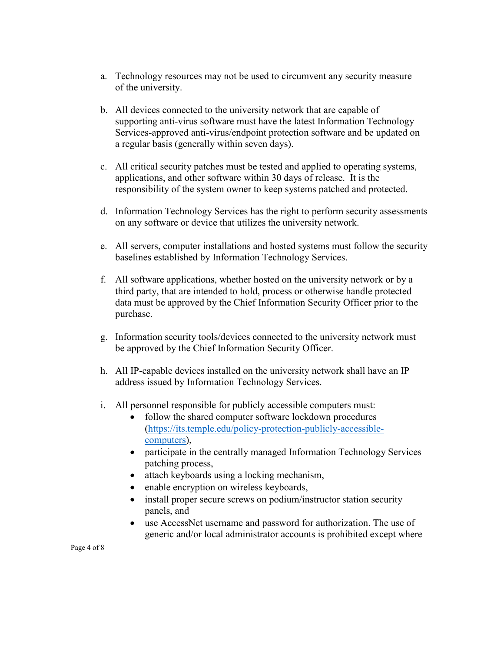- a. Technology resources may not be used to circumvent any security measure of the university.
- b. All devices connected to the university network that are capable of supporting anti-virus software must have the latest Information Technology Services-approved anti-virus/endpoint protection software and be updated on a regular basis (generally within seven days).
- c. All critical security patches must be tested and applied to operating systems, applications, and other software within 30 days of release. It is the responsibility of the system owner to keep systems patched and protected.
- d. Information Technology Services has the right to perform security assessments on any software or device that utilizes the university network.
- e. All servers, computer installations and hosted systems must follow the security baselines established by Information Technology Services.
- f. All software applications, whether hosted on the university network or by a third party, that are intended to hold, process or otherwise handle protected data must be approved by the Chief Information Security Officer prior to the purchase.
- g. Information security tools/devices connected to the university network must be approved by the Chief Information Security Officer.
- h. All IP-capable devices installed on the university network shall have an IP address issued by Information Technology Services.
- i. All personnel responsible for publicly accessible computers must:
	- follow the shared computer software lockdown procedures [\(https://its.temple.edu/policy-protection-publicly-accessible](https://its.temple.edu/policy-protection-publicly-accessible-computers)[computers\)](https://its.temple.edu/policy-protection-publicly-accessible-computers),
	- participate in the centrally managed Information Technology Services patching process,
	- attach keyboards using a locking mechanism,
	- enable encryption on wireless keyboards,
	- install proper secure screws on podium/instructor station security panels, and
	- use AccessNet username and password for authorization. The use of generic and/or local administrator accounts is prohibited except where

Page 4 of 8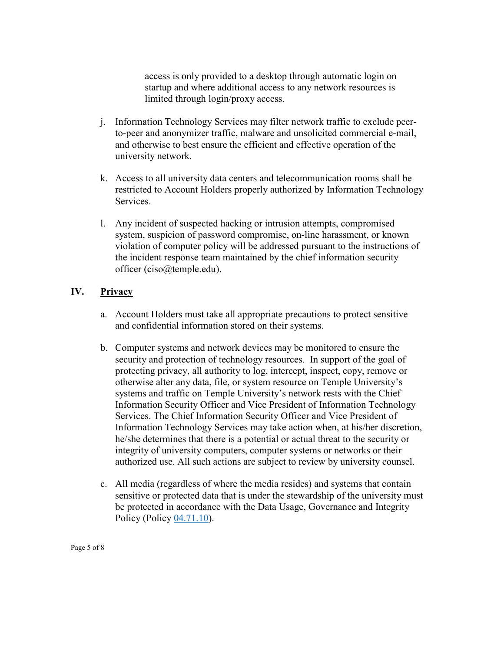access is only provided to a desktop through automatic login on startup and where additional access to any network resources is limited through login/proxy access.

- j. Information Technology Services may filter network traffic to exclude peerto-peer and anonymizer traffic, malware and unsolicited commercial e-mail, and otherwise to best ensure the efficient and effective operation of the university network.
- k. Access to all university data centers and telecommunication rooms shall be restricted to Account Holders properly authorized by Information Technology Services.
- l. Any incident of suspected hacking or intrusion attempts, compromised system, suspicion of password compromise, on-line harassment, or known violation of computer policy will be addressed pursuant to the instructions of the incident response team maintained by the chief information security officer (ciso@temple.edu).

## **IV. Privacy**

- a. Account Holders must take all appropriate precautions to protect sensitive and confidential information stored on their systems.
- b. Computer systems and network devices may be monitored to ensure the security and protection of technology resources. In support of the goal of protecting privacy, all authority to log, intercept, inspect, copy, remove or otherwise alter any data, file, or system resource on Temple University's systems and traffic on Temple University's network rests with the Chief Information Security Officer and Vice President of Information Technology Services. The Chief Information Security Officer and Vice President of Information Technology Services may take action when, at his/her discretion, he/she determines that there is a potential or actual threat to the security or integrity of university computers, computer systems or networks or their authorized use. All such actions are subject to review by university counsel.
- c. All media (regardless of where the media resides) and systems that contain sensitive or protected data that is under the stewardship of the university must be protected in accordance with the Data Usage, Governance and Integrity Policy (Policy [04.71.10\)](https://secretary.temple.edu/sites/secretary/files/policies/04.71.10.pdf).

Page 5 of 8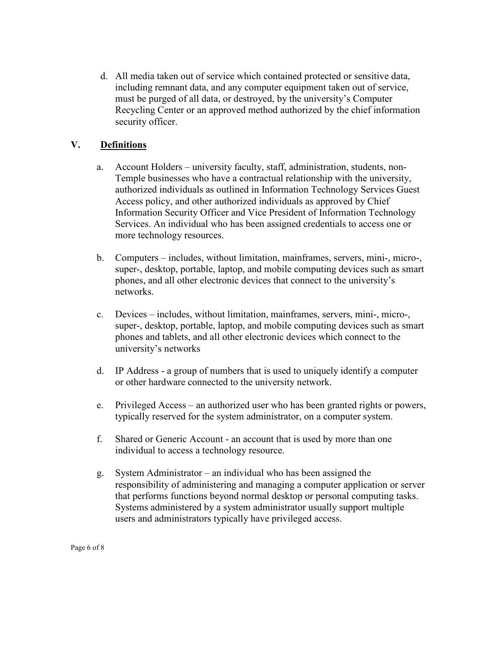d. All media taken out of service which contained protected or sensitive data, including remnant data, and any computer equipment taken out of service, must be purged of all data, or destroyed, by the university's Computer Recycling Center or an approved method authorized by the chief information security officer.

# **V. Definitions**

- a. Account Holders university faculty, staff, administration, students, non-Temple businesses who have a contractual relationship with the university, authorized individuals as outlined in Information Technology Services Guest Access policy, and other authorized individuals as approved by Chief Information Security Officer and Vice President of Information Technology Services. An individual who has been assigned credentials to access one or more technology resources.
- b. Computers includes, without limitation, mainframes, servers, mini-, micro-, super-, desktop, portable, laptop, and mobile computing devices such as smart phones, and all other electronic devices that connect to the university's networks.
- c. Devices includes, without limitation, mainframes, servers, mini-, micro-, super-, desktop, portable, laptop, and mobile computing devices such as smart phones and tablets, and all other electronic devices which connect to the university's networks
- d. IP Address a group of numbers that is used to uniquely identify a computer or other hardware connected to the university network.
- e. Privileged Access an authorized user who has been granted rights or powers, typically reserved for the system administrator, on a computer system.
- f. Shared or Generic Account an account that is used by more than one individual to access a technology resource.
- g. System Administrator an individual who has been assigned the responsibility of administering and managing a computer application or server that performs functions beyond normal desktop or personal computing tasks. Systems administered by a system administrator usually support multiple users and administrators typically have privileged access.

Page 6 of 8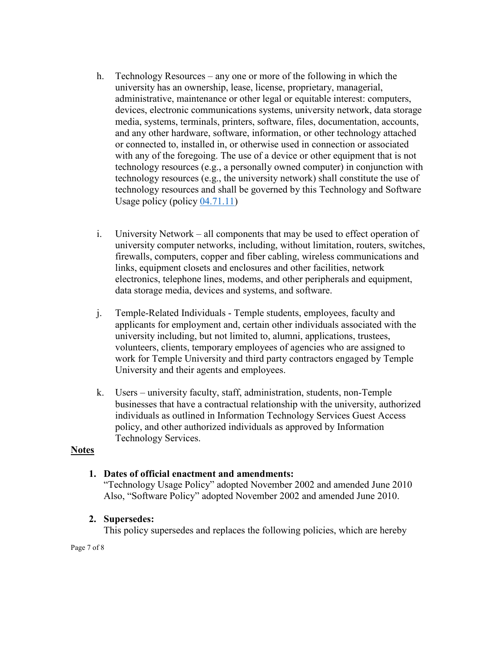- h. Technology Resources any one or more of the following in which the university has an ownership, lease, license, proprietary, managerial, administrative, maintenance or other legal or equitable interest: computers, devices, electronic communications systems, university network, data storage media, systems, terminals, printers, software, files, documentation, accounts, and any other hardware, software, information, or other technology attached or connected to, installed in, or otherwise used in connection or associated with any of the foregoing. The use of a device or other equipment that is not technology resources (e.g., a personally owned computer) in conjunction with technology resources (e.g., the university network) shall constitute the use of technology resources and shall be governed by this Technology and Software Usage policy (policy [04.71.11\)](http://policies.temple.edu/PDF/408.pdf)
- i. University Network all components that may be used to effect operation of university computer networks, including, without limitation, routers, switches, firewalls, computers, copper and fiber cabling, wireless communications and links, equipment closets and enclosures and other facilities, network electronics, telephone lines, modems, and other peripherals and equipment, data storage media, devices and systems, and software.
- j. Temple-Related Individuals Temple students, employees, faculty and applicants for employment and, certain other individuals associated with the university including, but not limited to, alumni, applications, trustees, volunteers, clients, temporary employees of agencies who are assigned to work for Temple University and third party contractors engaged by Temple University and their agents and employees.
- k. Users university faculty, staff, administration, students, non-Temple businesses that have a contractual relationship with the university, authorized individuals as outlined in Information Technology Services Guest Access policy, and other authorized individuals as approved by Information Technology Services.

#### **Notes**

## **1. Dates of official enactment and amendments:**

"Technology Usage Policy" adopted November 2002 and amended June 2010 Also, "Software Policy" adopted November 2002 and amended June 2010.

## **2. Supersedes:**

This policy supersedes and replaces the following policies, which are hereby

Page 7 of 8